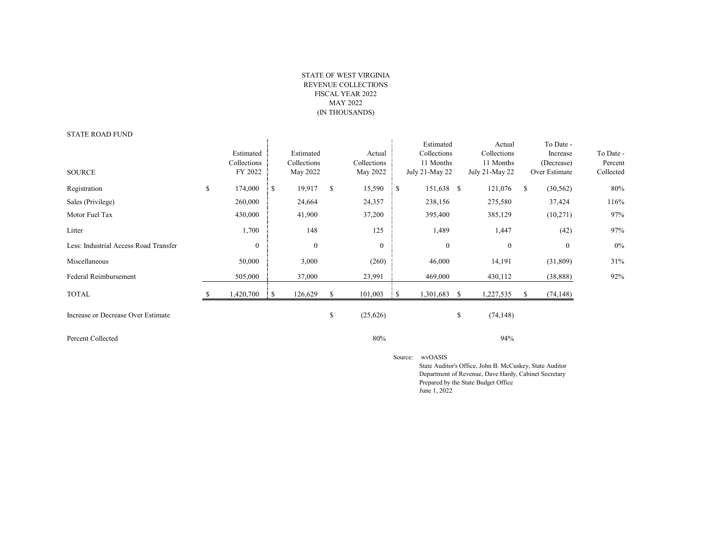## STATE OF WEST VIRGINIA REVENUE COLLECTIONS FISCAL YEAR 2022 MAY 2022 (IN THOUSANDS)

## STATE ROAD FUND

| <u>UIAILINUADI UND</u>                |                                     |    |                                      |    |                                   |     |                                                         |    |                                                      |   |                                                      |                                   |
|---------------------------------------|-------------------------------------|----|--------------------------------------|----|-----------------------------------|-----|---------------------------------------------------------|----|------------------------------------------------------|---|------------------------------------------------------|-----------------------------------|
| <b>SOURCE</b>                         | Estimated<br>Collections<br>FY 2022 |    | Estimated<br>Collections<br>May 2022 |    | Actual<br>Collections<br>May 2022 |     | Estimated<br>Collections<br>11 Months<br>July 21-May 22 |    | Actual<br>Collections<br>11 Months<br>July 21-May 22 |   | To Date -<br>Increase<br>(Decrease)<br>Over Estimate | To Date -<br>Percent<br>Collected |
| Registration                          | \$<br>174,000                       | -S | 19,917                               | \$ | 15,590                            | : S | 151,638 \$                                              |    | 121,076                                              | S | (30, 562)                                            | 80%                               |
| Sales (Privilege)                     | 260,000                             |    | 24,664                               |    | 24,357                            |     | 238,156                                                 |    | 275,580                                              |   | 37,424                                               | 116%                              |
| Motor Fuel Tax                        | 430,000                             |    | 41,900                               |    | 37,200                            |     | 395,400                                                 |    | 385,129                                              |   | (10,271)                                             | 97%                               |
| Litter                                | 1,700                               |    | 148                                  |    | 125                               |     | 1,489                                                   |    | 1,447                                                |   | (42)                                                 | 97%                               |
| Less: Industrial Access Road Transfer | $\boldsymbol{0}$                    |    | $\boldsymbol{0}$                     |    | $\boldsymbol{0}$                  |     | $\mathbf{0}$                                            |    | $\mathbf{0}$                                         |   | $\mathbf{0}$                                         | $0\%$                             |
| Miscellaneous                         | 50,000                              |    | 3,000                                |    | (260)                             |     | 46,000                                                  |    | 14,191                                               |   | (31,809)                                             | 31%                               |
| Federal Reimbursement                 | 505,000                             |    | 37,000                               |    | 23,991                            |     | 469,000                                                 |    | 430,112                                              |   | (38, 888)                                            | 92%                               |
| <b>TOTAL</b>                          | ,420,700                            |    | 126,629                              |    | 101,003                           |     | 1,301,683                                               | -S | 1,227,535                                            |   | (74, 148)                                            |                                   |
| Increase or Decrease Over Estimate    |                                     |    |                                      | S  | (25,626)                          |     |                                                         | \$ | (74, 148)                                            |   |                                                      |                                   |

Percent Collected 80% 94% 94%

Source: wvOASIS

 State Auditor's Office, John B. McCuskey, State Auditor Department of Revenue, Dave Hardy, Cabinet Secretary Prepared by the State Budget Office June 1, 2022